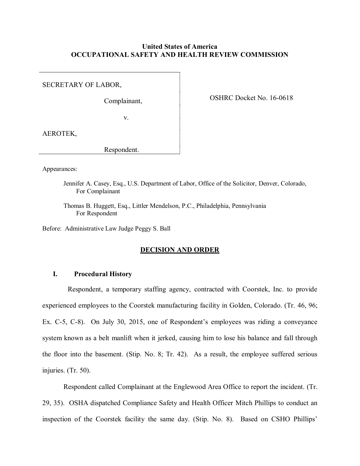# **United States of America OCCUPATIONAL SAFETY AND HEALTH REVIEW COMMISSION**

SECRETARY OF LABOR,

Complainant,

OSHRC Docket No. 16-0618

v.

AEROTEK,

Respondent.

Appearances:

Jennifer A. Casey, Esq., U.S. Department of Labor, Office of the Solicitor, Denver, Colorado, For Complainant

Thomas B. Huggett, Esq., Littler Mendelson, P.C., Philadelphia, Pennsylvania For Respondent

Before: Administrative Law Judge Peggy S. Ball

### **DECISION AND ORDER**

# **I. Procedural History**

Respondent, a temporary staffing agency, contracted with Coorstek, Inc. to provide experienced employees to the Coorstek manufacturing facility in Golden, Colorado. (Tr. 46, 96; Ex. C-5, C-8). On July 30, 2015, one of Respondent's employees was riding a conveyance system known as a belt manlift when it jerked, causing him to lose his balance and fall through the floor into the basement. (Stip. No. 8; Tr. 42). As a result, the employee suffered serious injuries. (Tr. 50).

Respondent called Complainant at the Englewood Area Office to report the incident. (Tr. 29, 35). OSHA dispatched Compliance Safety and Health Officer Mitch Phillips to conduct an inspection of the Coorstek facility the same day. (Stip. No. 8). Based on CSHO Phillips'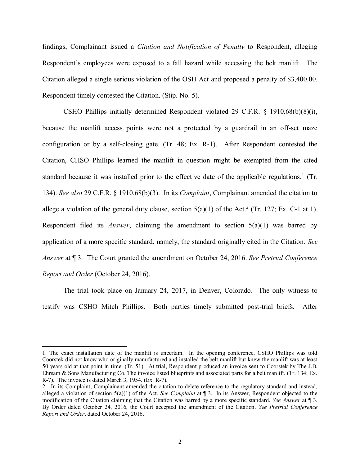findings, Complainant issued a *Citation and Notification of Penalty* to Respondent, alleging Respondent's employees were exposed to a fall hazard while accessing the belt manlift. The Citation alleged a single serious violation of the OSH Act and proposed a penalty of \$3,400.00. Respondent timely contested the Citation. (Stip. No. 5).

CSHO Phillips initially determined Respondent violated 29 C.F.R. § 1910.68(b)(8)(i), because the manlift access points were not a protected by a guardrail in an off-set maze configuration or by a self-closing gate. (Tr. 48; Ex. R-1). After Respondent contested the Citation, CHSO Phillips learned the manlift in question might be exempted from the cited standard because it was installed prior to the effective date of the applicable regulations.<sup>1</sup> (Tr. 134). *See also* 29 C.F.R. § 1910.68(b)(3). In its *Complaint*, Complainant amended the citation to allege a violation of the general duty clause, section  $5(a)(1)$  of the Act.<sup>2</sup> (Tr. 127; Ex. C-1 at 1). Respondent filed its *Answer*, claiming the amendment to section 5(a)(1) was barred by application of a more specific standard; namely, the standard originally cited in the Citation. *See Answer* at ¶ 3. The Court granted the amendment on October 24, 2016. *See Pretrial Conference Report and Order* (October 24, 2016).

The trial took place on January 24, 2017, in Denver, Colorado. The only witness to testify was CSHO Mitch Phillips. Both parties timely submitted post-trial briefs. After

<sup>1.</sup> The exact installation date of the manlift is uncertain. In the opening conference, CSHO Phillips was told Coorstek did not know who originally manufactured and installed the belt manlift but knew the manlift was at least 50 years old at that point in time. (Tr. 51). At trial, Respondent produced an invoice sent to Coorstek by The J.B. Ehrsam & Sons Manufacturing Co. The invoice listed blueprints and associated parts for a belt manlift. (Tr. 134; Ex. R-7). The invoice is dated March 3, 1954. (Ex. R-7).

<sup>2.</sup> In its Complaint, Complainant amended the citation to delete reference to the regulatory standard and instead, alleged a violation of section 5(a)(1) of the Act. *See Complaint* at ¶ 3. In its Answer, Respondent objected to the modification of the Citation claiming that the Citation was barred by a more specific standard. *See Answer* at ¶ 3. By Order dated October 24, 2016, the Court accepted the amendment of the Citation. *See Pretrial Conference Report and Order*, dated October 24, 2016.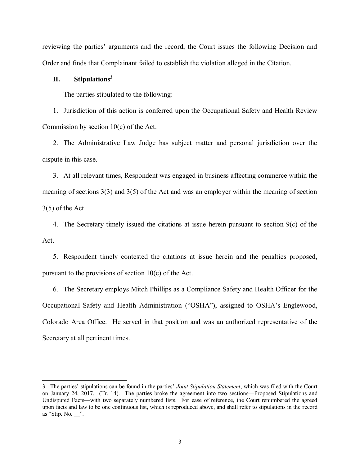reviewing the parties' arguments and the record, the Court issues the following Decision and Order and finds that Complainant failed to establish the violation alleged in the Citation.

## **II. Stipulations<sup>3</sup>**

 $\overline{a}$ 

The parties stipulated to the following:

1. Jurisdiction of this action is conferred upon the Occupational Safety and Health Review Commission by section 10(c) of the Act.

2. The Administrative Law Judge has subject matter and personal jurisdiction over the dispute in this case.

3. At all relevant times, Respondent was engaged in business affecting commerce within the meaning of sections 3(3) and 3(5) of the Act and was an employer within the meaning of section 3(5) of the Act.

4. The Secretary timely issued the citations at issue herein pursuant to section  $9(c)$  of the Act.

5. Respondent timely contested the citations at issue herein and the penalties proposed, pursuant to the provisions of section 10(c) of the Act.

6. The Secretary employs Mitch Phillips as a Compliance Safety and Health Officer for the Occupational Safety and Health Administration ("OSHA"), assigned to OSHA's Englewood, Colorado Area Office. He served in that position and was an authorized representative of the Secretary at all pertinent times.

<sup>3.</sup> The parties' stipulations can be found in the parties' *Joint Stipulation Statement*, which was filed with the Court on January 24, 2017. (Tr. 14). The parties broke the agreement into two sections—Proposed Stipulations and Undisputed Facts—with two separately numbered lists. For ease of reference, the Court renumbered the agreed upon facts and law to be one continuous list, which is reproduced above, and shall refer to stipulations in the record as "Stip. No. ".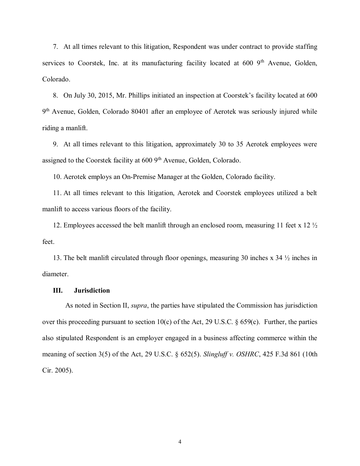7. At all times relevant to this litigation, Respondent was under contract to provide staffing services to Coorstek, Inc. at its manufacturing facility located at  $600\,9^{th}$  Avenue, Golden, Colorado.

8. On July 30, 2015, Mr. Phillips initiated an inspection at Coorstek's facility located at 600 9<sup>th</sup> Avenue, Golden, Colorado 80401 after an employee of Aerotek was seriously injured while riding a manlift.

9. At all times relevant to this litigation, approximately 30 to 35 Aerotek employees were assigned to the Coorstek facility at  $6009<sup>th</sup>$  Avenue, Golden, Colorado.

10. Aerotek employs an On-Premise Manager at the Golden, Colorado facility.

11. At all times relevant to this litigation, Aerotek and Coorstek employees utilized a belt manlift to access various floors of the facility.

12. Employees accessed the belt manlift through an enclosed room, measuring 11 feet x 12 ½ feet.

13. The belt manlift circulated through floor openings, measuring 30 inches x 34 ½ inches in diameter.

## **III. Jurisdiction**

As noted in Section II, *supra*, the parties have stipulated the Commission has jurisdiction over this proceeding pursuant to section 10(c) of the Act, 29 U.S.C.  $\S$  659(c). Further, the parties also stipulated Respondent is an employer engaged in a business affecting commerce within the meaning of section 3(5) of the Act, 29 U.S.C. § 652(5). *Slingluff v. OSHRC*, 425 F.3d 861 (10th Cir. 2005).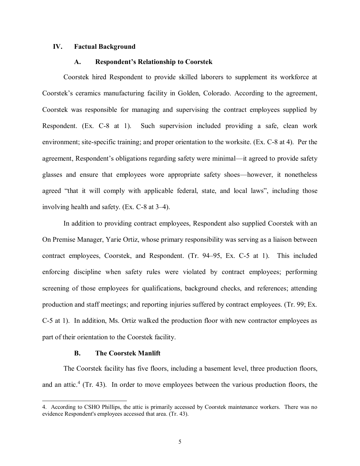# **IV. Factual Background**

### **A. Respondent's Relationship to Coorstek**

Coorstek hired Respondent to provide skilled laborers to supplement its workforce at Coorstek's ceramics manufacturing facility in Golden, Colorado. According to the agreement, Coorstek was responsible for managing and supervising the contract employees supplied by Respondent. (Ex. C-8 at 1). Such supervision included providing a safe, clean work environment; site-specific training; and proper orientation to the worksite. (Ex. C-8 at 4). Per the agreement, Respondent's obligations regarding safety were minimal—it agreed to provide safety glasses and ensure that employees wore appropriate safety shoes—however, it nonetheless agreed "that it will comply with applicable federal, state, and local laws", including those involving health and safety. (Ex. C-8 at 3–4).

In addition to providing contract employees, Respondent also supplied Coorstek with an On Premise Manager, Yarie Ortiz, whose primary responsibility was serving as a liaison between contract employees, Coorstek, and Respondent. (Tr. 94–95, Ex. C-5 at 1). This included enforcing discipline when safety rules were violated by contract employees; performing screening of those employees for qualifications, background checks, and references; attending production and staff meetings; and reporting injuries suffered by contract employees. (Tr. 99; Ex. C-5 at 1). In addition, Ms. Ortiz walked the production floor with new contractor employees as part of their orientation to the Coorstek facility.

### **B. The Coorstek Manlift**

 $\overline{a}$ 

The Coorstek facility has five floors, including a basement level, three production floors, and an attic.<sup>4</sup> (Tr. 43). In order to move employees between the various production floors, the

<sup>4.</sup> According to CSHO Phillips, the attic is primarily accessed by Coorstek maintenance workers. There was no evidence Respondent's employees accessed that area. (Tr. 43).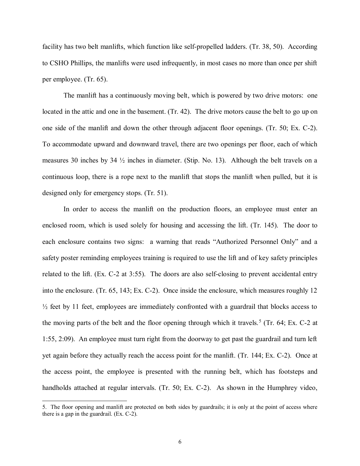facility has two belt manlifts, which function like self-propelled ladders. (Tr. 38, 50). According to CSHO Phillips, the manlifts were used infrequently, in most cases no more than once per shift per employee. (Tr. 65).

The manlift has a continuously moving belt, which is powered by two drive motors: one located in the attic and one in the basement. (Tr. 42). The drive motors cause the belt to go up on one side of the manlift and down the other through adjacent floor openings. (Tr. 50; Ex. C-2). To accommodate upward and downward travel, there are two openings per floor, each of which measures 30 inches by 34 ½ inches in diameter. (Stip. No. 13). Although the belt travels on a continuous loop, there is a rope next to the manlift that stops the manlift when pulled, but it is designed only for emergency stops. (Tr. 51).

In order to access the manlift on the production floors, an employee must enter an enclosed room, which is used solely for housing and accessing the lift. (Tr. 145). The door to each enclosure contains two signs: a warning that reads "Authorized Personnel Only" and a safety poster reminding employees training is required to use the lift and of key safety principles related to the lift. (Ex. C-2 at 3:55). The doors are also self-closing to prevent accidental entry into the enclosure. (Tr. 65, 143; Ex. C-2). Once inside the enclosure, which measures roughly 12  $\frac{1}{2}$  feet by 11 feet, employees are immediately confronted with a guardrail that blocks access to the moving parts of the belt and the floor opening through which it travels.<sup>5</sup> (Tr. 64; Ex. C-2 at 1:55, 2:09). An employee must turn right from the doorway to get past the guardrail and turn left yet again before they actually reach the access point for the manlift. (Tr. 144; Ex. C-2). Once at the access point, the employee is presented with the running belt, which has footsteps and handholds attached at regular intervals. (Tr. 50; Ex. C-2). As shown in the Humphrey video,

<sup>5.</sup> The floor opening and manlift are protected on both sides by guardrails; it is only at the point of access where there is a gap in the guardrail. (Ex. C-2).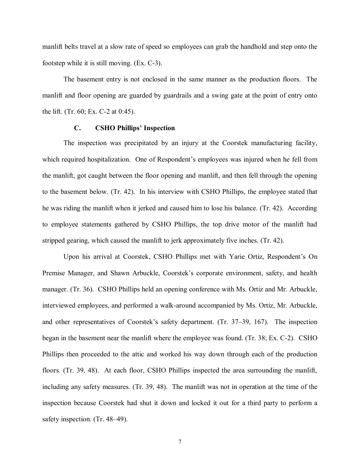manlift belts travel at a slow rate of speed so employees can grab the handhold and step onto the footstep while it is still moving. (Ex. C-3).

The basement entry is not enclosed in the same manner as the production floors. The manlift and floor opening are guarded by guardrails and a swing gate at the point of entry onto the lift. (Tr. 60; Ex. C-2 at 0:45).

### **C. CSHO Phillips' Inspection**

The inspection was precipitated by an injury at the Coorstek manufacturing facility, which required hospitalization. One of Respondent's employees was injured when he fell from the manlift, got caught between the floor opening and manlift, and then fell through the opening to the basement below. (Tr. 42). In his interview with CSHO Phillips, the employee stated that he was riding the manlift when it jerked and caused him to lose his balance. (Tr. 42). According to employee statements gathered by CSHO Phillips, the top drive motor of the manlift had stripped gearing, which caused the manlift to jerk approximately five inches. (Tr. 42).

Upon his arrival at Coorstek, CSHO Phillips met with Yarie Ortiz, Respondent's On Premise Manager, and Shawn Arbuckle, Coorstek's corporate environment, safety, and health manager. (Tr. 36). CSHO Phillips held an opening conference with Ms. Ortiz and Mr. Arbuckle, interviewed employees, and performed a walk-around accompanied by Ms. Ortiz, Mr. Arbuckle, and other representatives of Coorstek's safety department. (Tr. 37–39, 167). The inspection began in the basement near the manlift where the employee was found. (Tr. 38; Ex. C-2). CSHO Phillips then proceeded to the attic and worked his way down through each of the production floors. (Tr. 39, 48). At each floor, CSHO Phillips inspected the area surrounding the manlift, including any safety measures. (Tr. 39, 48). The manlift was not in operation at the time of the inspection because Coorstek had shut it down and locked it out for a third party to perform a safety inspection. (Tr. 48–49).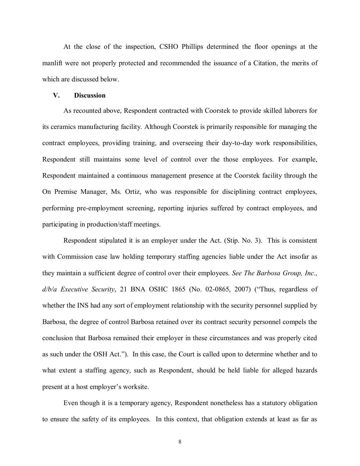At the close of the inspection, CSHO Phillips determined the floor openings at the manlift were not properly protected and recommended the issuance of a Citation, the merits of which are discussed below.

#### **V. Discussion**

As recounted above, Respondent contracted with Coorstek to provide skilled laborers for its ceramics manufacturing facility. Although Coorstek is primarily responsible for managing the contract employees, providing training, and overseeing their day-to-day work responsibilities, Respondent still maintains some level of control over the those employees. For example, Respondent maintained a continuous management presence at the Coorstek facility through the On Premise Manager, Ms. Ortiz, who was responsible for disciplining contract employees, performing pre-employment screening, reporting injuries suffered by contract employees, and participating in production/staff meetings.

Respondent stipulated it is an employer under the Act. (Stip. No. 3). This is consistent with Commission case law holding temporary staffing agencies liable under the Act insofar as they maintain a sufficient degree of control over their employees. *See The Barbosa Group, Inc., d/b/a Executive Security*, 21 BNA OSHC 1865 (No. 02-0865, 2007) ("Thus, regardless of whether the INS had any sort of employment relationship with the security personnel supplied by Barbosa, the degree of control Barbosa retained over its contract security personnel compels the conclusion that Barbosa remained their employer in these circumstances and was properly cited as such under the OSH Act."). In this case, the Court is called upon to determine whether and to what extent a staffing agency, such as Respondent, should be held liable for alleged hazards present at a host employer's worksite.

Even though it is a temporary agency, Respondent nonetheless has a statutory obligation to ensure the safety of its employees. In this context, that obligation extends at least as far as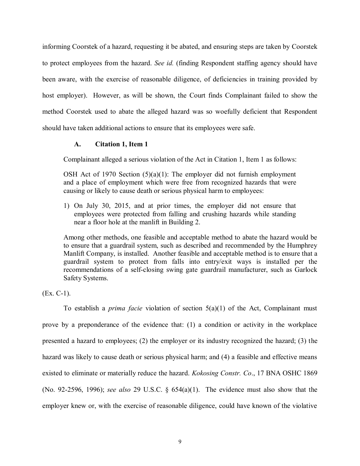informing Coorstek of a hazard, requesting it be abated, and ensuring steps are taken by Coorstek to protect employees from the hazard. *See id.* (finding Respondent staffing agency should have been aware, with the exercise of reasonable diligence, of deficiencies in training provided by host employer). However, as will be shown, the Court finds Complainant failed to show the method Coorstek used to abate the alleged hazard was so woefully deficient that Respondent should have taken additional actions to ensure that its employees were safe.

# **A. Citation 1, Item 1**

Complainant alleged a serious violation of the Act in Citation 1, Item 1 as follows:

OSH Act of 1970 Section  $(5)(a)(1)$ : The employer did not furnish employment and a place of employment which were free from recognized hazards that were causing or likely to cause death or serious physical harm to employees:

1) On July 30, 2015, and at prior times, the employer did not ensure that employees were protected from falling and crushing hazards while standing near a floor hole at the manlift in Building 2.

Among other methods, one feasible and acceptable method to abate the hazard would be to ensure that a guardrail system, such as described and recommended by the Humphrey Manlift Company, is installed. Another feasible and acceptable method is to ensure that a guardrail system to protect from falls into entry/exit ways is installed per the recommendations of a self-closing swing gate guardrail manufacturer, such as Garlock Safety Systems.

(Ex. C-1).

To establish a *prima facie* violation of section 5(a)(1) of the Act, Complainant must prove by a preponderance of the evidence that: (1) a condition or activity in the workplace presented a hazard to employees; (2) the employer or its industry recognized the hazard; (3) the hazard was likely to cause death or serious physical harm; and (4) a feasible and effective means existed to eliminate or materially reduce the hazard. *Kokosing Constr. Co*., 17 BNA OSHC 1869 (No. 92-2596, 1996); *see also* 29 U.S.C. § 654(a)(1). The evidence must also show that the employer knew or, with the exercise of reasonable diligence, could have known of the violative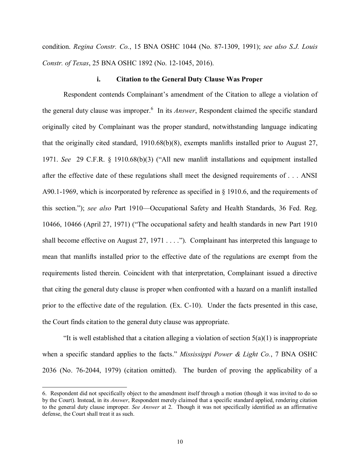condition. *Regina Constr. Co.*, 15 BNA OSHC 1044 (No. 87-1309, 1991); *see also S.J. Louis Constr. of Texas*, 25 BNA OSHC 1892 (No. 12-1045, 2016).

### **i. Citation to the General Duty Clause Was Proper**

Respondent contends Complainant's amendment of the Citation to allege a violation of the general duty clause was improper.<sup>6</sup> In its *Answer*, Respondent claimed the specific standard originally cited by Complainant was the proper standard, notwithstanding language indicating that the originally cited standard, 1910.68(b)(8), exempts manlifts installed prior to August 27, 1971. *See* 29 C.F.R. § 1910.68(b)(3) ("All new manlift installations and equipment installed after the effective date of these regulations shall meet the designed requirements of . . . ANSI A90.1-1969, which is incorporated by reference as specified in § 1910.6, and the requirements of this section."); *see also* Part 1910—Occupational Safety and Health Standards, 36 Fed. Reg. 10466, 10466 (April 27, 1971) ("The occupational safety and health standards in new Part 1910 shall become effective on August  $27, 1971...$ "). Complainant has interpreted this language to mean that manlifts installed prior to the effective date of the regulations are exempt from the requirements listed therein. Coincident with that interpretation, Complainant issued a directive that citing the general duty clause is proper when confronted with a hazard on a manlift installed prior to the effective date of the regulation. (Ex. C-10). Under the facts presented in this case, the Court finds citation to the general duty clause was appropriate.

"It is well established that a citation alleging a violation of section  $5(a)(1)$  is inappropriate when a specific standard applies to the facts." *Mississippi Power & Light Co.*, 7 BNA OSHC 2036 (No. 76-2044, 1979) (citation omitted). The burden of proving the applicability of a

<sup>6.</sup> Respondent did not specifically object to the amendment itself through a motion (though it was invited to do so by the Court). Instead, in its *Answer*, Respondent merely claimed that a specific standard applied, rendering citation to the general duty clause improper. *See Answer* at 2. Though it was not specifically identified as an affirmative defense, the Court shall treat it as such.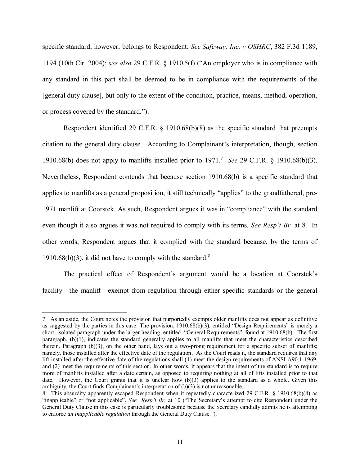specific standard, however, belongs to Respondent. *See Safeway, Inc. v OSHRC*, 382 F.3d 1189, 1194 (10th Cir. 2004); *see also* 29 C.F.R. § 1910.5(f) ("An employer who is in compliance with any standard in this part shall be deemed to be in compliance with the requirements of the [general duty clause], but only to the extent of the condition, practice, means, method, operation, or process covered by the standard.").

Respondent identified 29 C.F.R. § 1910.68(b)(8) as the specific standard that preempts citation to the general duty clause. According to Complainant's interpretation, though, section 1910.68(b) does not apply to manlifts installed prior to 1971.<sup>7</sup> *See* 29 C.F.R. § 1910.68(b)(3). Nevertheless, Respondent contends that because section 1910.68(b) is a specific standard that applies to manlifts as a general proposition, it still technically "applies" to the grandfathered, pre-1971 manlift at Coorstek. As such, Respondent argues it was in "compliance" with the standard even though it also argues it was not required to comply with its terms. *See Resp't Br.* at 8. In other words, Respondent argues that it complied with the standard because, by the terms of 1910.68(b)(3), it did not have to comply with the standard.<sup>8</sup>

The practical effect of Respondent's argument would be a location at Coorstek's facility—the manlift—exempt from regulation through either specific standards or the general

<sup>7.</sup> As an aside, the Court notes the provision that purportedly exempts older manlifts does not appear as definitive as suggested by the parties in this case. The provision,  $1910.68(b)(3)$ , entitled "Design Requirements" is merely a short, isolated paragraph under the larger heading, entitled "General Requirements", found at 1910.68(b). The first paragraph, (b)(1), indicates the standard generally applies to all manlifts that meet the characteristics described therein. Paragraph (b)(3), on the other hand, lays out a two-prong requirement for a specific subset of manlifts; namely, those installed after the effective date of the regulation. As the Court reads it, the standard requires that any lift installed after the effective date of the regulations shall (1) meet the design requirements of ANSI A90.1-1969, and (2) meet the requirements of this section. In other words, it appears that the intent of the standard is to require more of manlifts installed after a date certain, as opposed to requiring nothing at all of lifts installed prior to that date. However, the Court grants that it is unclear how (b)(3) applies to the standard as a whole. Given this ambiguity, the Court finds Complainant's interpretation of (b)(3) is not unreasonable.

<sup>8.</sup> This absurdity apparently escaped Respondent when it repeatedly characterized 29 C.F.R. § 1910.68(b)(8) as "inapplicable" or "not applicable". *See Resp't Br.* at 10 ("The Secretary's attempt to cite Respondent under the General Duty Clause in this case is particularly troublesome because the Secretary candidly admits he is attempting to enforce *an inapplicable regulation* through the General Duty Clause.").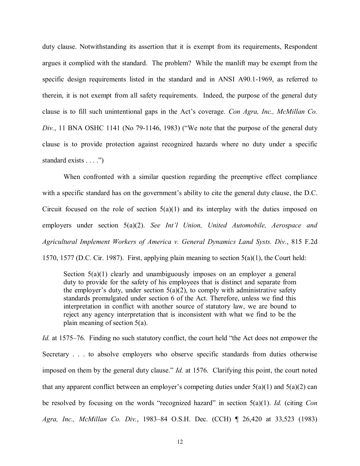duty clause. Notwithstanding its assertion that it is exempt from its requirements, Respondent argues it complied with the standard. The problem? While the manlift may be exempt from the specific design requirements listed in the standard and in ANSI A90.1-1969, as referred to therein, it is not exempt from all safety requirements. Indeed, the purpose of the general duty clause is to fill such unintentional gaps in the Act's coverage. *Con Agra, Inc., McMillan Co. Div.*, 11 BNA OSHC 1141 (No 79-1146, 1983) ("We note that the purpose of the general duty clause is to provide protection against recognized hazards where no duty under a specific standard exists . . . .")

When confronted with a similar question regarding the preemptive effect compliance with a specific standard has on the government's ability to cite the general duty clause, the D.C. Circuit focused on the role of section  $5(a)(1)$  and its interplay with the duties imposed on employers under section 5(a)(2). *See Int'l Union, United Automobile, Aerospace and Agricultural Implement Workers of America v. General Dynamics Land Systs. Div.*, 815 F.2d 1570, 1577 (D.C. Cir. 1987). First, applying plain meaning to section 5(a)(1), the Court held:

Section 5(a)(1) clearly and unambiguously imposes on an employer a general duty to provide for the safety of his employees that is distinct and separate from the employer's duty, under section  $5(a)(2)$ , to comply with administrative safety standards promulgated under section 6 of the Act. Therefore, unless we find this interpretation in conflict with another source of statutory law, we are bound to reject any agency interpretation that is inconsistent with what we find to be the plain meaning of section 5(a).

*Id.* at 1575–76. Finding no such statutory conflict, the court held "the Act does not empower the Secretary . . . to absolve employers who observe specific standards from duties otherwise imposed on them by the general duty clause." *Id.* at 1576. Clarifying this point, the court noted that any apparent conflict between an employer's competing duties under  $5(a)(1)$  and  $5(a)(2)$  can be resolved by focusing on the words "recognized hazard" in section 5(a)(1). *Id.* (citing *Con Agra, Inc., McMillan Co. Div.*, 1983–84 O.S.H. Dec. (CCH) ¶ 26,420 at 33,523 (1983)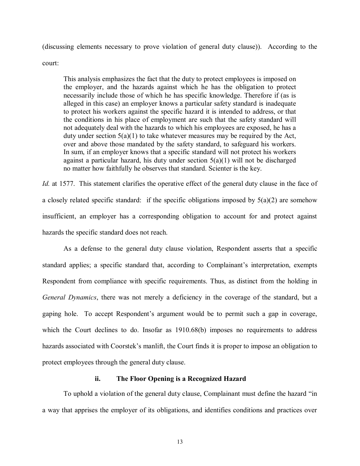(discussing elements necessary to prove violation of general duty clause)). According to the

court:

This analysis emphasizes the fact that the duty to protect employees is imposed on the employer, and the hazards against which he has the obligation to protect necessarily include those of which he has specific knowledge. Therefore if (as is alleged in this case) an employer knows a particular safety standard is inadequate to protect his workers against the specific hazard it is intended to address, or that the conditions in his place of employment are such that the safety standard will not adequately deal with the hazards to which his employees are exposed, he has a duty under section  $5(a)(1)$  to take whatever measures may be required by the Act, over and above those mandated by the safety standard, to safeguard his workers. In sum, if an employer knows that a specific standard will not protect his workers against a particular hazard, his duty under section  $5(a)(1)$  will not be discharged no matter how faithfully he observes that standard. Scienter is the key.

*Id.* at 1577. This statement clarifies the operative effect of the general duty clause in the face of a closely related specific standard: if the specific obligations imposed by  $5(a)(2)$  are somehow insufficient, an employer has a corresponding obligation to account for and protect against hazards the specific standard does not reach.

As a defense to the general duty clause violation, Respondent asserts that a specific standard applies; a specific standard that, according to Complainant's interpretation, exempts Respondent from compliance with specific requirements. Thus, as distinct from the holding in *General Dynamics*, there was not merely a deficiency in the coverage of the standard, but a gaping hole. To accept Respondent's argument would be to permit such a gap in coverage, which the Court declines to do. Insofar as 1910.68(b) imposes no requirements to address hazards associated with Coorstek's manlift, the Court finds it is proper to impose an obligation to protect employees through the general duty clause.

# **ii. The Floor Opening is a Recognized Hazard**

To uphold a violation of the general duty clause, Complainant must define the hazard "in a way that apprises the employer of its obligations, and identifies conditions and practices over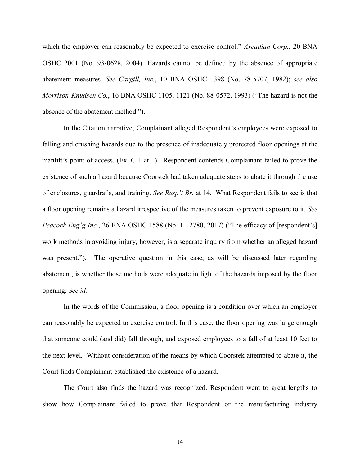which the employer can reasonably be expected to exercise control." *Arcadian Corp.*, 20 BNA OSHC 2001 (No. 93-0628, 2004). Hazards cannot be defined by the absence of appropriate abatement measures. *See Cargill, Inc.*, 10 BNA OSHC 1398 (No. 78-5707, 1982); *see also Morrison-Knudsen Co.*, 16 BNA OSHC 1105, 1121 (No. 88-0572, 1993) ("The hazard is not the absence of the abatement method.").

In the Citation narrative, Complainant alleged Respondent's employees were exposed to falling and crushing hazards due to the presence of inadequately protected floor openings at the manlift's point of access. (Ex. C-1 at 1). Respondent contends Complainant failed to prove the existence of such a hazard because Coorstek had taken adequate steps to abate it through the use of enclosures, guardrails, and training. *See Resp't Br.* at 14. What Respondent fails to see is that a floor opening remains a hazard irrespective of the measures taken to prevent exposure to it. *See Peacock Eng'g Inc.*, 26 BNA OSHC 1588 (No. 11-2780, 2017) ("The efficacy of [respondent's] work methods in avoiding injury, however, is a separate inquiry from whether an alleged hazard was present."). The operative question in this case, as will be discussed later regarding abatement, is whether those methods were adequate in light of the hazards imposed by the floor opening. *See id.*

In the words of the Commission, a floor opening is a condition over which an employer can reasonably be expected to exercise control. In this case, the floor opening was large enough that someone could (and did) fall through, and exposed employees to a fall of at least 10 feet to the next level. Without consideration of the means by which Coorstek attempted to abate it, the Court finds Complainant established the existence of a hazard.

The Court also finds the hazard was recognized. Respondent went to great lengths to show how Complainant failed to prove that Respondent or the manufacturing industry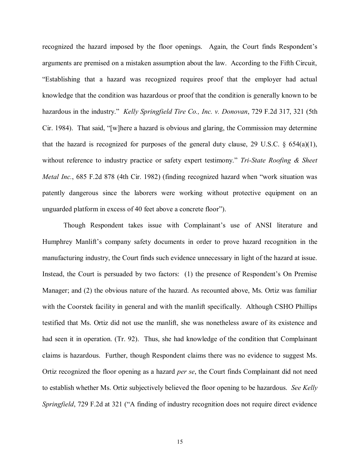recognized the hazard imposed by the floor openings. Again, the Court finds Respondent's arguments are premised on a mistaken assumption about the law. According to the Fifth Circuit, "Establishing that a hazard was recognized requires proof that the employer had actual knowledge that the condition was hazardous or proof that the condition is generally known to be hazardous in the industry." *Kelly Springfield Tire Co., Inc. v. Donovan*, 729 F.2d 317, 321 (5th Cir. 1984). That said, "[w]here a hazard is obvious and glaring, the Commission may determine that the hazard is recognized for purposes of the general duty clause, 29 U.S.C.  $\S$  654(a)(1), without reference to industry practice or safety expert testimony." *Tri-State Roofing & Sheet Metal Inc.*, 685 F.2d 878 (4th Cir. 1982) (finding recognized hazard when "work situation was patently dangerous since the laborers were working without protective equipment on an unguarded platform in excess of 40 feet above a concrete floor").

Though Respondent takes issue with Complainant's use of ANSI literature and Humphrey Manlift's company safety documents in order to prove hazard recognition in the manufacturing industry, the Court finds such evidence unnecessary in light of the hazard at issue. Instead, the Court is persuaded by two factors: (1) the presence of Respondent's On Premise Manager; and (2) the obvious nature of the hazard. As recounted above, Ms. Ortiz was familiar with the Coorstek facility in general and with the manlift specifically. Although CSHO Phillips testified that Ms. Ortiz did not use the manlift, she was nonetheless aware of its existence and had seen it in operation. (Tr. 92). Thus, she had knowledge of the condition that Complainant claims is hazardous. Further, though Respondent claims there was no evidence to suggest Ms. Ortiz recognized the floor opening as a hazard *per se*, the Court finds Complainant did not need to establish whether Ms. Ortiz subjectively believed the floor opening to be hazardous. *See Kelly Springfield*, 729 F.2d at 321 ("A finding of industry recognition does not require direct evidence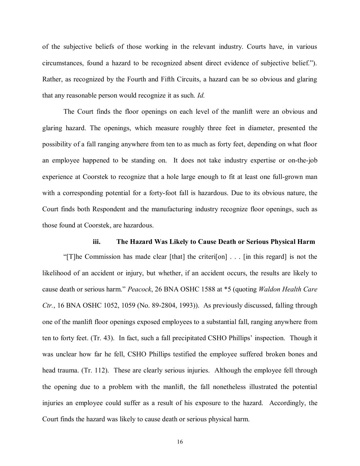of the subjective beliefs of those working in the relevant industry. Courts have, in various circumstances, found a hazard to be recognized absent direct evidence of subjective belief."). Rather, as recognized by the Fourth and Fifth Circuits, a hazard can be so obvious and glaring that any reasonable person would recognize it as such. *Id.*

The Court finds the floor openings on each level of the manlift were an obvious and glaring hazard. The openings, which measure roughly three feet in diameter, presented the possibility of a fall ranging anywhere from ten to as much as forty feet, depending on what floor an employee happened to be standing on. It does not take industry expertise or on-the-job experience at Coorstek to recognize that a hole large enough to fit at least one full-grown man with a corresponding potential for a forty-foot fall is hazardous. Due to its obvious nature, the Court finds both Respondent and the manufacturing industry recognize floor openings, such as those found at Coorstek, are hazardous.

### **iii. The Hazard Was Likely to Cause Death or Serious Physical Harm**

"[T]he Commission has made clear [that] the criteri[on] . . . [in this regard] is not the likelihood of an accident or injury, but whether, if an accident occurs, the results are likely to cause death or serious harm." *Peacock*, 26 BNA OSHC 1588 at \*5 (quoting *Waldon Health Care Ctr.*, 16 BNA OSHC 1052, 1059 (No. 89-2804, 1993)). As previously discussed, falling through one of the manlift floor openings exposed employees to a substantial fall, ranging anywhere from ten to forty feet. (Tr. 43). In fact, such a fall precipitated CSHO Phillips' inspection. Though it was unclear how far he fell, CSHO Phillips testified the employee suffered broken bones and head trauma. (Tr. 112). These are clearly serious injuries. Although the employee fell through the opening due to a problem with the manlift, the fall nonetheless illustrated the potential injuries an employee could suffer as a result of his exposure to the hazard. Accordingly, the Court finds the hazard was likely to cause death or serious physical harm.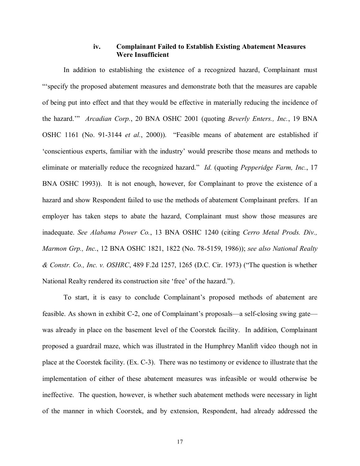# **iv. Complainant Failed to Establish Existing Abatement Measures Were Insufficient**

In addition to establishing the existence of a recognized hazard, Complainant must "'specify the proposed abatement measures and demonstrate both that the measures are capable of being put into effect and that they would be effective in materially reducing the incidence of the hazard.'" *Arcadian Corp.*, 20 BNA OSHC 2001 (quoting *Beverly Enters., Inc.*, 19 BNA OSHC 1161 (No. 91-3144 *et al.*, 2000)). "Feasible means of abatement are established if 'conscientious experts, familiar with the industry' would prescribe those means and methods to eliminate or materially reduce the recognized hazard." *Id.* (quoting *Pepperidge Farm, Inc.*, 17 BNA OSHC 1993)). It is not enough, however, for Complainant to prove the existence of a hazard and show Respondent failed to use the methods of abatement Complainant prefers. If an employer has taken steps to abate the hazard, Complainant must show those measures are inadequate. *See Alabama Power Co.*, 13 BNA OSHC 1240 (citing *Cerro Metal Prods. Div., Marmon Grp., Inc.*, 12 BNA OSHC 1821, 1822 (No. 78-5159, 1986)); *see also National Realty & Constr. Co., Inc. v. OSHRC*, 489 F.2d 1257, 1265 (D.C. Cir. 1973) ("The question is whether National Realty rendered its construction site 'free' of the hazard.").

To start, it is easy to conclude Complainant's proposed methods of abatement are feasible. As shown in exhibit C-2, one of Complainant's proposals—a self-closing swing gate was already in place on the basement level of the Coorstek facility. In addition, Complainant proposed a guardrail maze, which was illustrated in the Humphrey Manlift video though not in place at the Coorstek facility. (Ex. C-3). There was no testimony or evidence to illustrate that the implementation of either of these abatement measures was infeasible or would otherwise be ineffective. The question, however, is whether such abatement methods were necessary in light of the manner in which Coorstek, and by extension, Respondent, had already addressed the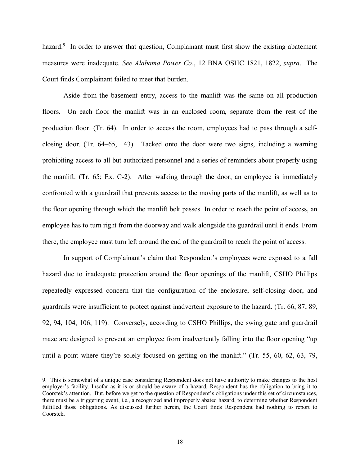hazard.<sup>9</sup> In order to answer that question, Complainant must first show the existing abatement measures were inadequate. *See Alabama Power Co.*, 12 BNA OSHC 1821, 1822, *supra*. The Court finds Complainant failed to meet that burden.

Aside from the basement entry, access to the manlift was the same on all production floors. On each floor the manlift was in an enclosed room, separate from the rest of the production floor. (Tr. 64). In order to access the room, employees had to pass through a selfclosing door. (Tr. 64–65, 143). Tacked onto the door were two signs, including a warning prohibiting access to all but authorized personnel and a series of reminders about properly using the manlift. (Tr. 65; Ex. C-2). After walking through the door, an employee is immediately confronted with a guardrail that prevents access to the moving parts of the manlift, as well as to the floor opening through which the manlift belt passes. In order to reach the point of access, an employee has to turn right from the doorway and walk alongside the guardrail until it ends. From there, the employee must turn left around the end of the guardrail to reach the point of access.

In support of Complainant's claim that Respondent's employees were exposed to a fall hazard due to inadequate protection around the floor openings of the manlift, CSHO Phillips repeatedly expressed concern that the configuration of the enclosure, self-closing door, and guardrails were insufficient to protect against inadvertent exposure to the hazard. (Tr. 66, 87, 89, 92, 94, 104, 106, 119). Conversely, according to CSHO Phillips, the swing gate and guardrail maze are designed to prevent an employee from inadvertently falling into the floor opening "up until a point where they're solely focused on getting on the manlift." (Tr. 55, 60, 62, 63, 79,

<sup>9.</sup> This is somewhat of a unique case considering Respondent does not have authority to make changes to the host employer's facility. Insofar as it is or should be aware of a hazard, Respondent has the obligation to bring it to Coorstek's attention. But, before we get to the question of Respondent's obligations under this set of circumstances, there must be a triggering event, i.e., a recognized and improperly abated hazard, to determine whether Respondent fulfilled those obligations. As discussed further herein, the Court finds Respondent had nothing to report to Coorstek.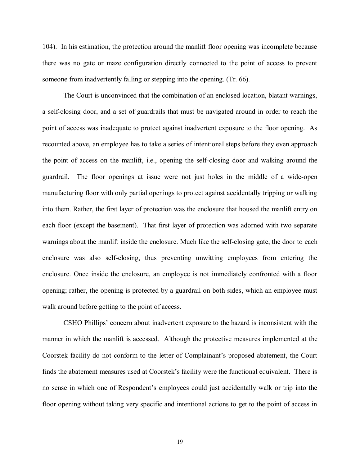104). In his estimation, the protection around the manlift floor opening was incomplete because there was no gate or maze configuration directly connected to the point of access to prevent someone from inadvertently falling or stepping into the opening. (Tr. 66).

The Court is unconvinced that the combination of an enclosed location, blatant warnings, a self-closing door, and a set of guardrails that must be navigated around in order to reach the point of access was inadequate to protect against inadvertent exposure to the floor opening. As recounted above, an employee has to take a series of intentional steps before they even approach the point of access on the manlift, i.e., opening the self-closing door and walking around the guardrail. The floor openings at issue were not just holes in the middle of a wide-open manufacturing floor with only partial openings to protect against accidentally tripping or walking into them. Rather, the first layer of protection was the enclosure that housed the manlift entry on each floor (except the basement). That first layer of protection was adorned with two separate warnings about the manlift inside the enclosure. Much like the self-closing gate, the door to each enclosure was also self-closing, thus preventing unwitting employees from entering the enclosure. Once inside the enclosure, an employee is not immediately confronted with a floor opening; rather, the opening is protected by a guardrail on both sides, which an employee must walk around before getting to the point of access.

CSHO Phillips' concern about inadvertent exposure to the hazard is inconsistent with the manner in which the manlift is accessed. Although the protective measures implemented at the Coorstek facility do not conform to the letter of Complainant's proposed abatement, the Court finds the abatement measures used at Coorstek's facility were the functional equivalent. There is no sense in which one of Respondent's employees could just accidentally walk or trip into the floor opening without taking very specific and intentional actions to get to the point of access in

19